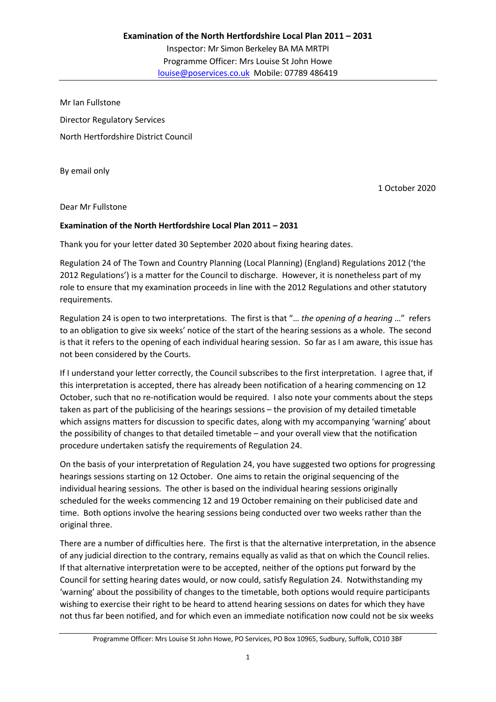Mr Ian Fullstone Director Regulatory Services North Hertfordshire District Council

By email only

1 October 2020

Dear Mr Fullstone

## **Examination of the North Hertfordshire Local Plan 2011 – 2031**

Thank you for your letter dated 30 September 2020 about fixing hearing dates.

Regulation 24 of The Town and Country Planning (Local Planning) (England) Regulations 2012 ('the 2012 Regulations') is a matter for the Council to discharge. However, it is nonetheless part of my role to ensure that my examination proceeds in line with the 2012 Regulations and other statutory requirements.

Regulation 24 is open to two interpretations. The first is that "… *the opening of a hearing* …" refers to an obligation to give six weeks' notice of the start of the hearing sessions as a whole. The second is that it refers to the opening of each individual hearing session. So far as I am aware, this issue has not been considered by the Courts.

If I understand your letter correctly, the Council subscribes to the first interpretation. I agree that, if this interpretation is accepted, there has already been notification of a hearing commencing on 12 October, such that no re-notification would be required. I also note your comments about the steps taken as part of the publicising of the hearings sessions – the provision of my detailed timetable which assigns matters for discussion to specific dates, along with my accompanying 'warning' about the possibility of changes to that detailed timetable – and your overall view that the notification procedure undertaken satisfy the requirements of Regulation 24.

On the basis of your interpretation of Regulation 24, you have suggested two options for progressing hearings sessions starting on 12 October. One aims to retain the original sequencing of the individual hearing sessions. The other is based on the individual hearing sessions originally scheduled for the weeks commencing 12 and 19 October remaining on their publicised date and time. Both options involve the hearing sessions being conducted over two weeks rather than the original three.

There are a number of difficulties here. The first is that the alternative interpretation, in the absence of any judicial direction to the contrary, remains equally as valid as that on which the Council relies. If that alternative interpretation were to be accepted, neither of the options put forward by the Council for setting hearing dates would, or now could, satisfy Regulation 24. Notwithstanding my 'warning' about the possibility of changes to the timetable, both options would require participants wishing to exercise their right to be heard to attend hearing sessions on dates for which they have not thus far been notified, and for which even an immediate notification now could not be six weeks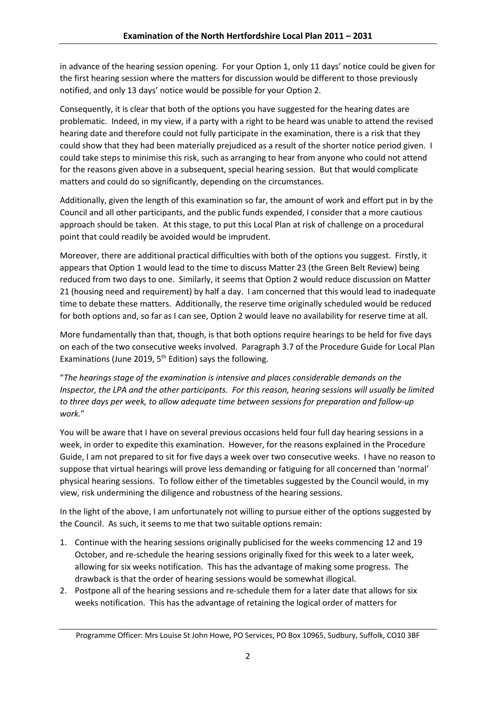in advance of the hearing session opening. For your Option 1, only 11 days' notice could be given for the first hearing session where the matters for discussion would be different to those previously notified, and only 13 days' notice would be possible for your Option 2.

Consequently, it is clear that both of the options you have suggested for the hearing dates are problematic. Indeed, in my view, if a party with a right to be heard was unable to attend the revised hearing date and therefore could not fully participate in the examination, there is a risk that they could show that they had been materially prejudiced as a result of the shorter notice period given. I could take steps to minimise this risk, such as arranging to hear from anyone who could not attend for the reasons given above in a subsequent, special hearing session. But that would complicate matters and could do so significantly, depending on the circumstances.

Additionally, given the length of this examination so far, the amount of work and effort put in by the Council and all other participants, and the public funds expended, I consider that a more cautious approach should be taken. At this stage, to put this Local Plan at risk of challenge on a procedural point that could readily be avoided would be imprudent.

Moreover, there are additional practical difficulties with both of the options you suggest. Firstly, it appears that Option 1 would lead to the time to discuss Matter 23 (the Green Belt Review) being reduced from two days to one. Similarly, it seems that Option 2 would reduce discussion on Matter 21 (housing need and requirement) by half a day. I am concerned that this would lead to inadequate time to debate these matters. Additionally, the reserve time originally scheduled would be reduced for both options and, so far as I can see, Option 2 would leave no availability for reserve time at all.

More fundamentally than that, though, is that both options require hearings to be held for five days on each of the two consecutive weeks involved. Paragraph 3.7 of the Procedure Guide for Local Plan Examinations (June 2019,  $5<sup>th</sup>$  Edition) says the following.

"*The hearings stage of the examination is intensive and places considerable demands on the Inspector, the LPA and the other participants. For this reason, hearing sessions will usually be limited to three days per week, to allow adequate time between sessions for preparation and follow-up work.*"

You will be aware that I have on several previous occasions held four full day hearing sessions in a week, in order to expedite this examination. However, for the reasons explained in the Procedure Guide, I am not prepared to sit for five days a week over two consecutive weeks. I have no reason to suppose that virtual hearings will prove less demanding or fatiguing for all concerned than 'normal' physical hearing sessions. To follow either of the timetables suggested by the Council would, in my view, risk undermining the diligence and robustness of the hearing sessions.

In the light of the above, I am unfortunately not willing to pursue either of the options suggested by the Council. As such, it seems to me that two suitable options remain:

- 1. Continue with the hearing sessions originally publicised for the weeks commencing 12 and 19 October, and re-schedule the hearing sessions originally fixed for this week to a later week, allowing for six weeks notification. This has the advantage of making some progress. The drawback is that the order of hearing sessions would be somewhat illogical.
- 2. Postpone all of the hearing sessions and re-schedule them for a later date that allows for six weeks notification. This has the advantage of retaining the logical order of matters for

Programme Officer: Mrs Louise St John Howe, PO Services, PO Box 10965, Sudbury, Suffolk, CO10 3BF